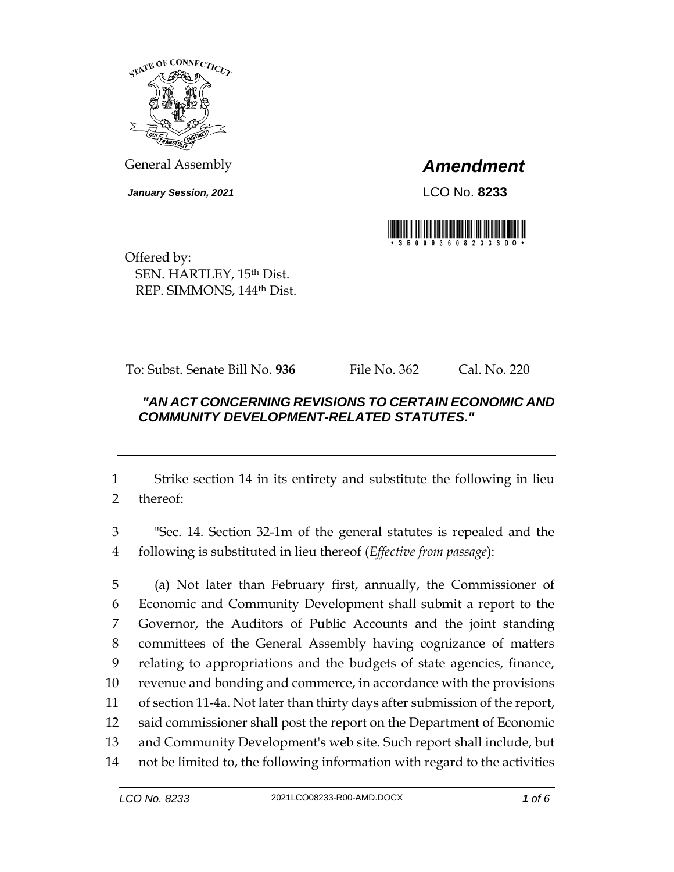

General Assembly *Amendment*

*January Session, 2021* LCO No. **8233**



Offered by: SEN. HARTLEY, 15th Dist. REP. SIMMONS, 144th Dist.

To: Subst. Senate Bill No. **936** File No. 362 Cal. No. 220

## *"AN ACT CONCERNING REVISIONS TO CERTAIN ECONOMIC AND COMMUNITY DEVELOPMENT-RELATED STATUTES."*

 Strike section 14 in its entirety and substitute the following in lieu thereof:

 "Sec. 14. Section 32-1m of the general statutes is repealed and the following is substituted in lieu thereof (*Effective from passage*):

 (a) Not later than February first, annually, the Commissioner of Economic and Community Development shall submit a report to the Governor, the Auditors of Public Accounts and the joint standing committees of the General Assembly having cognizance of matters relating to appropriations and the budgets of state agencies, finance, revenue and bonding and commerce, in accordance with the provisions of section 11-4a. Not later than thirty days after submission of the report, said commissioner shall post the report on the Department of Economic and Community Development's web site. Such report shall include, but not be limited to, the following information with regard to the activities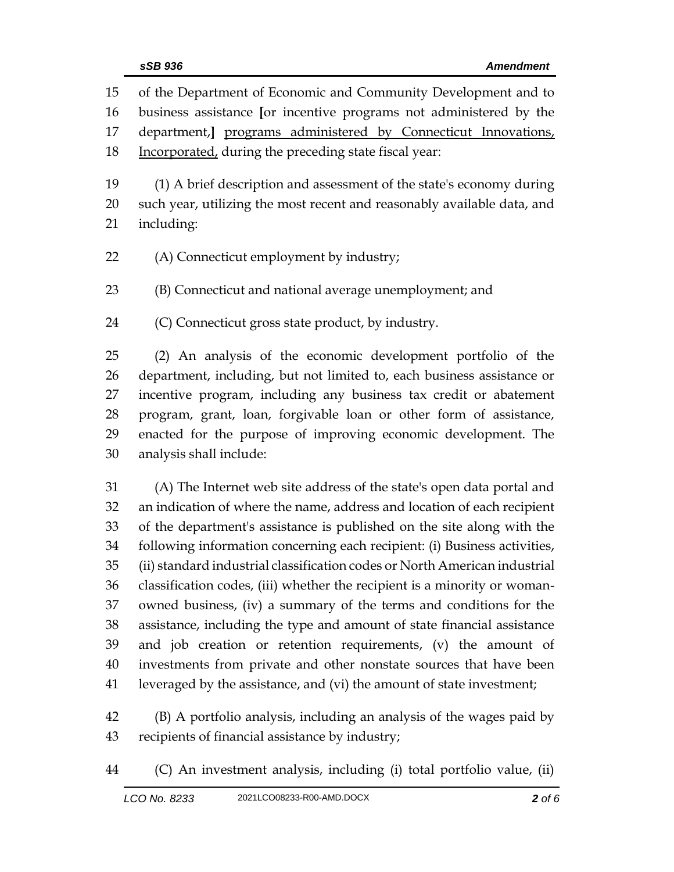| 15 | of the Department of Economic and Community Development and to             |
|----|----------------------------------------------------------------------------|
| 16 | business assistance [or incentive programs not administered by the         |
| 17 | department, programs administered by Connecticut Innovations,              |
| 18 | Incorporated, during the preceding state fiscal year:                      |
| 19 | (1) A brief description and assessment of the state's economy during       |
| 20 | such year, utilizing the most recent and reasonably available data, and    |
| 21 | including:                                                                 |
| 22 | (A) Connecticut employment by industry;                                    |
| 23 | (B) Connecticut and national average unemployment; and                     |
| 24 | (C) Connecticut gross state product, by industry.                          |
| 25 | (2) An analysis of the economic development portfolio of the               |
| 26 | department, including, but not limited to, each business assistance or     |
| 27 | incentive program, including any business tax credit or abatement          |
| 28 | program, grant, loan, forgivable loan or other form of assistance,         |
| 29 | enacted for the purpose of improving economic development. The             |
| 30 | analysis shall include:                                                    |
| 31 | (A) The Internet web site address of the state's open data portal and      |
| 32 | an indication of where the name, address and location of each recipient    |
| 33 | of the department's assistance is published on the site along with the     |
| 34 | following information concerning each recipient: (i) Business activities,  |
| 35 | (ii) standard industrial classification codes or North American industrial |
| 36 | classification codes, (iii) whether the recipient is a minority or woman-  |
| 37 | owned business, (iv) a summary of the terms and conditions for the         |
| 38 | assistance, including the type and amount of state financial assistance    |
| 39 | and job creation or retention requirements, (v) the amount of              |
| 40 | investments from private and other nonstate sources that have been         |
| 41 | leveraged by the assistance, and (vi) the amount of state investment;      |
| 42 | (B) A portfolio analysis, including an analysis of the wages paid by       |
| 43 | recipients of financial assistance by industry;                            |

(C) An investment analysis, including (i) total portfolio value, (ii)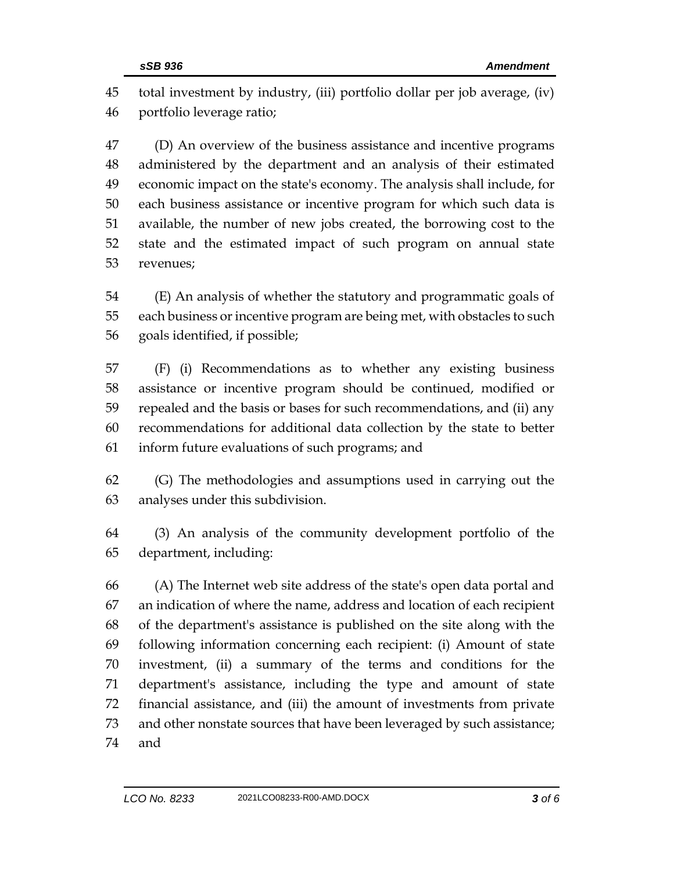total investment by industry, (iii) portfolio dollar per job average, (iv) portfolio leverage ratio;

 (D) An overview of the business assistance and incentive programs administered by the department and an analysis of their estimated economic impact on the state's economy. The analysis shall include, for each business assistance or incentive program for which such data is available, the number of new jobs created, the borrowing cost to the state and the estimated impact of such program on annual state revenues;

 (E) An analysis of whether the statutory and programmatic goals of each business or incentive program are being met, with obstacles to such goals identified, if possible;

 (F) (i) Recommendations as to whether any existing business assistance or incentive program should be continued, modified or repealed and the basis or bases for such recommendations, and (ii) any recommendations for additional data collection by the state to better inform future evaluations of such programs; and

 (G) The methodologies and assumptions used in carrying out the analyses under this subdivision.

 (3) An analysis of the community development portfolio of the department, including:

 (A) The Internet web site address of the state's open data portal and an indication of where the name, address and location of each recipient of the department's assistance is published on the site along with the following information concerning each recipient: (i) Amount of state investment, (ii) a summary of the terms and conditions for the department's assistance, including the type and amount of state financial assistance, and (iii) the amount of investments from private and other nonstate sources that have been leveraged by such assistance; and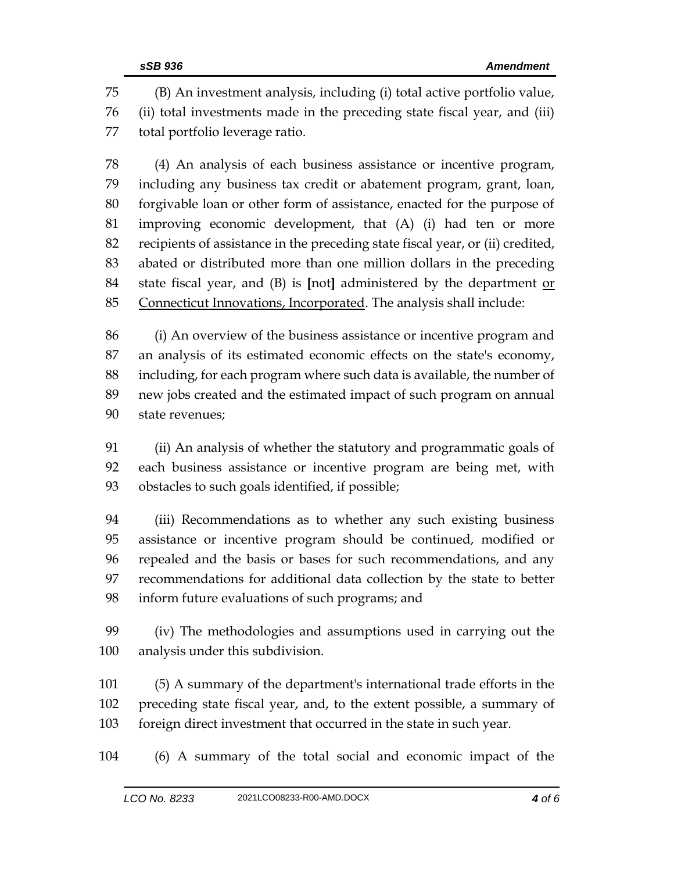(B) An investment analysis, including (i) total active portfolio value, (ii) total investments made in the preceding state fiscal year, and (iii) total portfolio leverage ratio.

 (4) An analysis of each business assistance or incentive program, including any business tax credit or abatement program, grant, loan, forgivable loan or other form of assistance, enacted for the purpose of improving economic development, that (A) (i) had ten or more recipients of assistance in the preceding state fiscal year, or (ii) credited, abated or distributed more than one million dollars in the preceding state fiscal year, and (B) is **[**not**]** administered by the department or Connecticut Innovations, Incorporated. The analysis shall include:

 (i) An overview of the business assistance or incentive program and an analysis of its estimated economic effects on the state's economy, including, for each program where such data is available, the number of new jobs created and the estimated impact of such program on annual state revenues;

 (ii) An analysis of whether the statutory and programmatic goals of each business assistance or incentive program are being met, with obstacles to such goals identified, if possible;

 (iii) Recommendations as to whether any such existing business assistance or incentive program should be continued, modified or repealed and the basis or bases for such recommendations, and any recommendations for additional data collection by the state to better inform future evaluations of such programs; and

 (iv) The methodologies and assumptions used in carrying out the analysis under this subdivision.

 (5) A summary of the department's international trade efforts in the preceding state fiscal year, and, to the extent possible, a summary of foreign direct investment that occurred in the state in such year.

(6) A summary of the total social and economic impact of the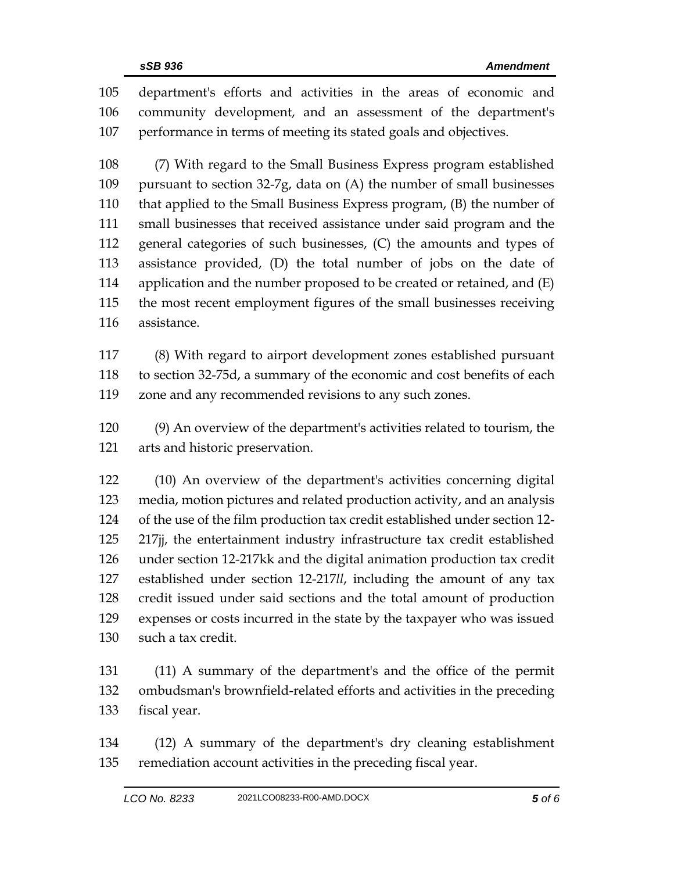department's efforts and activities in the areas of economic and community development, and an assessment of the department's performance in terms of meeting its stated goals and objectives.

 (7) With regard to the Small Business Express program established pursuant to section 32-7g, data on (A) the number of small businesses that applied to the Small Business Express program, (B) the number of small businesses that received assistance under said program and the general categories of such businesses, (C) the amounts and types of assistance provided, (D) the total number of jobs on the date of application and the number proposed to be created or retained, and (E) the most recent employment figures of the small businesses receiving assistance.

 (8) With regard to airport development zones established pursuant to section 32-75d, a summary of the economic and cost benefits of each zone and any recommended revisions to any such zones.

 (9) An overview of the department's activities related to tourism, the arts and historic preservation.

 (10) An overview of the department's activities concerning digital media, motion pictures and related production activity, and an analysis of the use of the film production tax credit established under section 12- 217jj, the entertainment industry infrastructure tax credit established under section 12-217kk and the digital animation production tax credit established under section 12-217*ll*, including the amount of any tax credit issued under said sections and the total amount of production expenses or costs incurred in the state by the taxpayer who was issued such a tax credit.

 (11) A summary of the department's and the office of the permit ombudsman's brownfield-related efforts and activities in the preceding fiscal year.

 (12) A summary of the department's dry cleaning establishment remediation account activities in the preceding fiscal year.